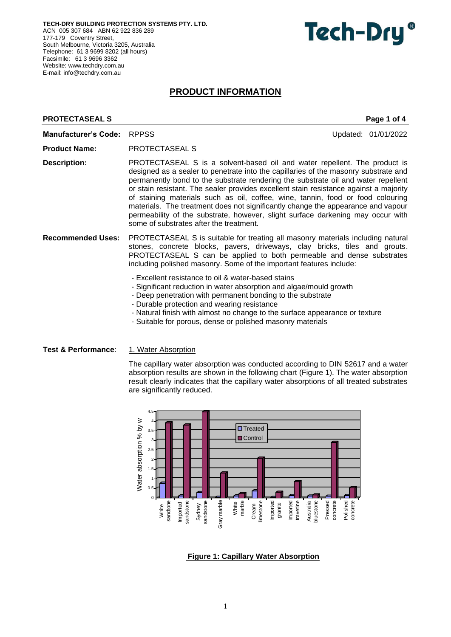**TECH-DRY BUILDING PROTECTION SYSTEMS PTY. LTD.** ACN 005 307 684 ABN 62 922 836 289 177-179 Coventry Street, South Melbourne, Victoria 3205, Australia Telephone: 61 3 9699 8202 (all hours) Facsimile: 61 3 9696 3362 Website: [www.techdry.com.au](http://www.techdry.com.au/) E-mail: [info@techdry.com.au](mailto:info@techdry.com.au)

# **Tech-Dry**

## **PRODUCT INFORMATION**

## **PROTECTASEAL S** PROTECTASEAL S **Manufacturer's Code:** RPPSS **Updated: 01/01/2022 Product Name:** PROTECTASEAL S **Description:** PROTECTASEAL S is a solvent-based oil and water repellent. The product is designed as a sealer to penetrate into the capillaries of the masonry substrate and permanently bond to the substrate rendering the substrate oil and water repellent or stain resistant. The sealer provides excellent stain resistance against a majority of staining materials such as oil, coffee, wine, tannin, food or food colouring materials. The treatment does not significantly change the appearance and vapour permeability of the substrate, however, slight surface darkening may occur with some of substrates after the treatment. **Recommended Uses:** PROTECTASEAL S is suitable for treating all masonry materials including natural stones, concrete blocks, pavers, driveways, clay bricks, tiles and grouts. PROTECTASEAL S can be applied to both permeable and dense substrates including polished masonry. Some of the important features include: - Excellent resistance to oil & water-based stains - Significant reduction in water absorption and algae/mould growth - Deep penetration with permanent bonding to the substrate

- Durable protection and wearing resistance
- Natural finish with almost no change to the surface appearance or texture
- Suitable for porous, dense or polished masonry materials

**Test & Performance:** 1. Water Absorption

The capillary water absorption was conducted according to DIN 52617 and a water absorption results are shown in the following chart (Figure 1). The water absorption result clearly indicates that the capillary water absorptions of all treated substrates are significantly reduced.



**Figure 1: Capillary Water Absorption**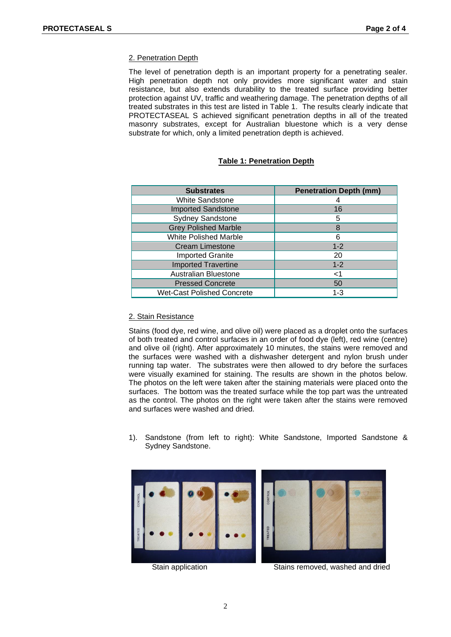### 2. Penetration Depth

The level of penetration depth is an important property for a penetrating sealer. High penetration depth not only provides more significant water and stain resistance, but also extends durability to the treated surface providing better protection against UV, traffic and weathering damage. The penetration depths of all treated substrates in this test are listed in Table 1. The results clearly indicate that PROTECTASEAL S achieved significant penetration depths in all of the treated masonry substrates, except for Australian bluestone which is a very dense substrate for which, only a limited penetration depth is achieved.

### **Table 1: Penetration Depth**

| <b>Substrates</b>                 | <b>Penetration Depth (mm)</b> |
|-----------------------------------|-------------------------------|
| <b>White Sandstone</b>            |                               |
| <b>Imported Sandstone</b>         | 16                            |
| <b>Sydney Sandstone</b>           | 5                             |
| <b>Grey Polished Marble</b>       | 8                             |
| <b>White Polished Marble</b>      | 6                             |
| <b>Cream Limestone</b>            | $1 - 2$                       |
| <b>Imported Granite</b>           | 20                            |
| <b>Imported Travertine</b>        | $1 - 2$                       |
| <b>Australian Bluestone</b>       | ا>                            |
| <b>Pressed Concrete</b>           | 50                            |
| <b>Wet-Cast Polished Concrete</b> | $1 - 3$                       |

#### 2. Stain Resistance

Stains (food dye, red wine, and olive oil) were placed as a droplet onto the surfaces of both treated and control surfaces in an order of food dye (left), red wine (centre) and olive oil (right). After approximately 10 minutes, the stains were removed and the surfaces were washed with a dishwasher detergent and nylon brush under running tap water. The substrates were then allowed to dry before the surfaces were visually examined for staining. The results are shown in the photos below. The photos on the left were taken after the staining materials were placed onto the surfaces. The bottom was the treated surface while the top part was the untreated as the control. The photos on the right were taken after the stains were removed and surfaces were washed and dried.

1). Sandstone (from left to right): White Sandstone, Imported Sandstone & Sydney Sandstone.



Stain application Stains removed, washed and dried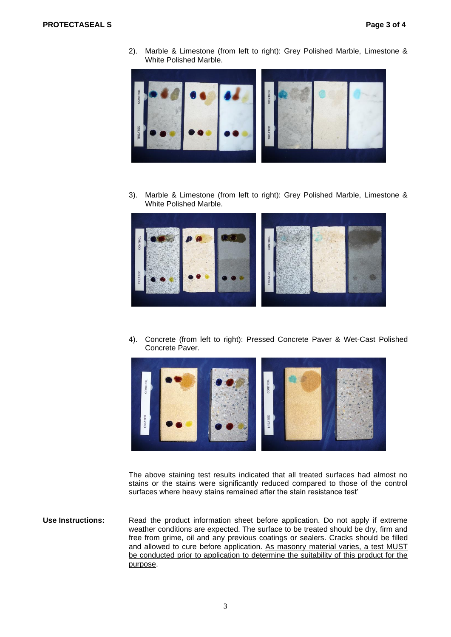2). Marble & Limestone (from left to right): Grey Polished Marble, Limestone & White Polished Marble.



3). Marble & Limestone (from left to right): Grey Polished Marble, Limestone & White Polished Marble.



4). Concrete (from left to right): Pressed Concrete Paver & Wet-Cast Polished Concrete Paver.



The above staining test results indicated that all treated surfaces had almost no stains or the stains were significantly reduced compared to those of the control surfaces where heavy stains remained after the stain resistance test'

**Use Instructions:** Read the product information sheet before application. Do not apply if extreme weather conditions are expected. The surface to be treated should be dry, firm and free from grime, oil and any previous coatings or sealers. Cracks should be filled and allowed to cure before application. As masonry material varies, a test MUST be conducted prior to application to determine the suitability of this product for the purpose.